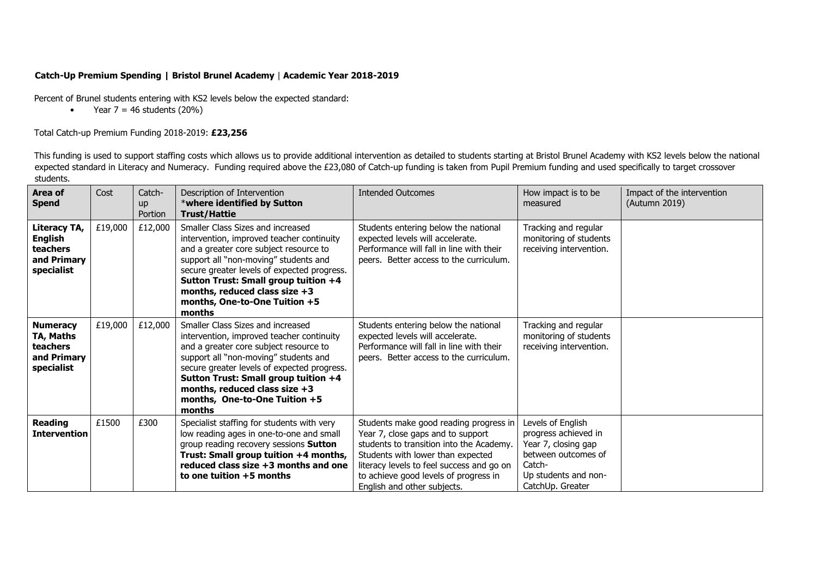## **Catch-Up Premium Spending | Bristol Brunel Academy** | **Academic Year 2018-2019**

Percent of Brunel students entering with KS2 levels below the expected standard:

• Year  $7 = 46$  students (20%)

## Total Catch-up Premium Funding 2018-2019: **£23,256**

This funding is used to support staffing costs which allows us to provide additional intervention as detailed to students starting at Bristol Brunel Academy with KS2 levels below the national expected standard in Literacy and Numeracy. Funding required above the £23,080 of Catch-up funding is taken from Pupil Premium funding and used specifically to target crossover students.

| Area of<br><b>Spend</b>                                                      | Cost    | Catch-<br><b>up</b><br>Portion | Description of Intervention<br>*where identified by Sutton<br><b>Trust/Hattie</b>                                                                                                                                                                                                                                                    | <b>Intended Outcomes</b>                                                                                                                                                                                                                                                          | How impact is to be<br>measured                                                                                                               | Impact of the intervention<br>(Autumn 2019) |
|------------------------------------------------------------------------------|---------|--------------------------------|--------------------------------------------------------------------------------------------------------------------------------------------------------------------------------------------------------------------------------------------------------------------------------------------------------------------------------------|-----------------------------------------------------------------------------------------------------------------------------------------------------------------------------------------------------------------------------------------------------------------------------------|-----------------------------------------------------------------------------------------------------------------------------------------------|---------------------------------------------|
| Literacy TA,<br><b>English</b><br>teachers<br>and Primary<br>specialist      | £19,000 | £12,000                        | Smaller Class Sizes and increased<br>intervention, improved teacher continuity<br>and a greater core subject resource to<br>support all "non-moving" students and<br>secure greater levels of expected progress.<br>Sutton Trust: Small group tuition +4<br>months, reduced class size +3<br>months, One-to-One Tuition +5<br>months | Students entering below the national<br>expected levels will accelerate.<br>Performance will fall in line with their<br>peers. Better access to the curriculum.                                                                                                                   | Tracking and regular<br>monitoring of students<br>receiving intervention.                                                                     |                                             |
| <b>Numeracy</b><br>TA, Maths<br><b>teachers</b><br>and Primary<br>specialist | £19,000 | £12,000                        | Smaller Class Sizes and increased<br>intervention, improved teacher continuity<br>and a greater core subject resource to<br>support all "non-moving" students and<br>secure greater levels of expected progress.<br>Sutton Trust: Small group tuition +4<br>months, reduced class size +3<br>months, One-to-One Tuition +5<br>months | Students entering below the national<br>expected levels will accelerate.<br>Performance will fall in line with their<br>peers. Better access to the curriculum.                                                                                                                   | Tracking and regular<br>monitoring of students<br>receiving intervention.                                                                     |                                             |
| <b>Reading</b><br><b>Intervention</b>                                        | £1500   | £300                           | Specialist staffing for students with very<br>low reading ages in one-to-one and small<br>group reading recovery sessions Sutton<br>Trust: Small group tuition +4 months,<br>reduced class size +3 months and one<br>to one tuition +5 months                                                                                        | Students make good reading progress in<br>Year 7, close gaps and to support<br>students to transition into the Academy.<br>Students with lower than expected<br>literacy levels to feel success and go on<br>to achieve good levels of progress in<br>English and other subjects. | Levels of English<br>progress achieved in<br>Year 7, closing gap<br>between outcomes of<br>Catch-<br>Up students and non-<br>CatchUp. Greater |                                             |